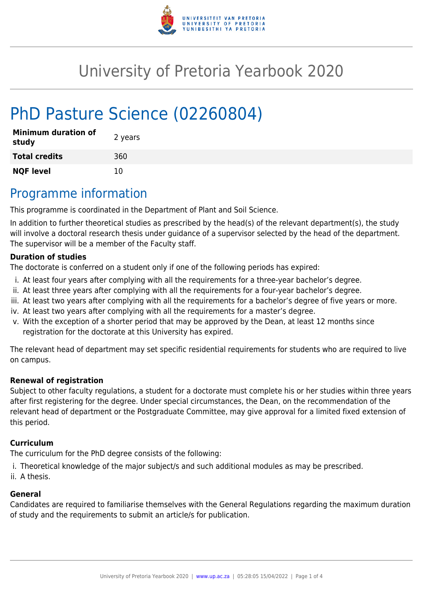

# University of Pretoria Yearbook 2020

# PhD Pasture Science (02260804)

| <b>Minimum duration of</b><br>study | 2 years |
|-------------------------------------|---------|
| <b>Total credits</b>                | 360     |
| <b>NQF level</b>                    | 10      |

## Programme information

This programme is coordinated in the Department of Plant and Soil Science.

In addition to further theoretical studies as prescribed by the head(s) of the relevant department(s), the study will involve a doctoral research thesis under guidance of a supervisor selected by the head of the department. The supervisor will be a member of the Faculty staff.

### **Duration of studies**

The doctorate is conferred on a student only if one of the following periods has expired:

- i. At least four years after complying with all the requirements for a three-year bachelor's degree.
- ii. At least three years after complying with all the requirements for a four-year bachelor's degree.
- iii. At least two years after complying with all the requirements for a bachelor's degree of five years or more.
- iv. At least two years after complying with all the requirements for a master's degree.
- v. With the exception of a shorter period that may be approved by the Dean, at least 12 months since registration for the doctorate at this University has expired.

The relevant head of department may set specific residential requirements for students who are required to live on campus.

### **Renewal of registration**

Subject to other faculty regulations, a student for a doctorate must complete his or her studies within three years after first registering for the degree. Under special circumstances, the Dean, on the recommendation of the relevant head of department or the Postgraduate Committee, may give approval for a limited fixed extension of this period.

#### **Curriculum**

The curriculum for the PhD degree consists of the following:

- i. Theoretical knowledge of the major subject/s and such additional modules as may be prescribed.
- ii. A thesis.

#### **General**

Candidates are required to familiarise themselves with the General Regulations regarding the maximum duration of study and the requirements to submit an article/s for publication.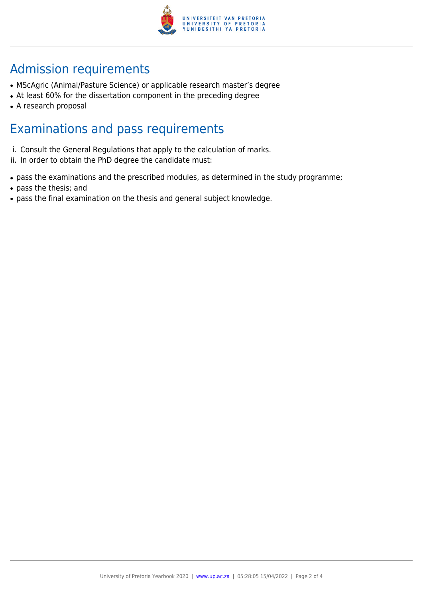

## Admission requirements

- MScAgric (Animal/Pasture Science) or applicable research master's degree
- At least 60% for the dissertation component in the preceding degree
- A research proposal

### Examinations and pass requirements

- i. Consult the General Regulations that apply to the calculation of marks.
- ii. In order to obtain the PhD degree the candidate must:
- pass the examinations and the prescribed modules, as determined in the study programme;
- pass the thesis; and
- pass the final examination on the thesis and general subject knowledge.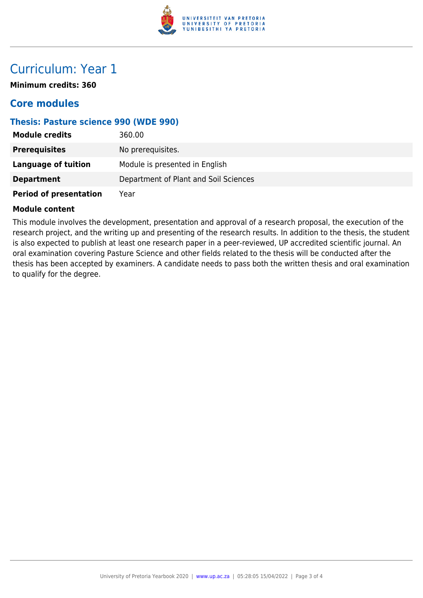

### Curriculum: Year 1

**Minimum credits: 360**

### **Core modules**

### **Thesis: Pasture science 990 (WDE 990)**

| <b>Module credits</b>         | 360.00                                |
|-------------------------------|---------------------------------------|
| <b>Prerequisites</b>          | No prerequisites.                     |
| Language of tuition           | Module is presented in English        |
| <b>Department</b>             | Department of Plant and Soil Sciences |
| <b>Period of presentation</b> | Year                                  |

#### **Module content**

This module involves the development, presentation and approval of a research proposal, the execution of the research project, and the writing up and presenting of the research results. In addition to the thesis, the student is also expected to publish at least one research paper in a peer-reviewed, UP accredited scientific journal. An oral examination covering Pasture Science and other fields related to the thesis will be conducted after the thesis has been accepted by examiners. A candidate needs to pass both the written thesis and oral examination to qualify for the degree.